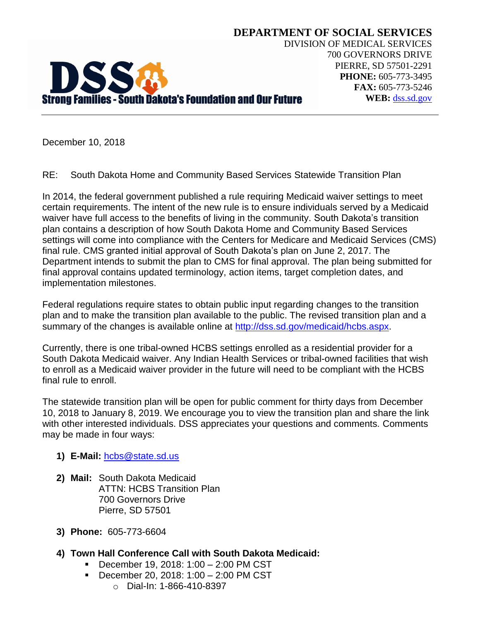

**DEPARTMENT OF SOCIAL SERVICES** DIVISION OF MEDICAL SERVICES 700 GOVERNORS DRIVE PIERRE, SD 57501-2291 **PHONE:** 605-773-3495 **FAX:** 605-773-5246 **WEB:** [dss.sd.gov](http://www.dss.sd.gov/)

December 10, 2018

RE: South Dakota Home and Community Based Services Statewide Transition Plan

In 2014, the federal government published a rule requiring Medicaid waiver settings to meet certain requirements. The intent of the new rule is to ensure individuals served by a Medicaid waiver have full access to the benefits of living in the community. South Dakota's transition plan contains a description of how South Dakota Home and Community Based Services settings will come into compliance with the Centers for Medicare and Medicaid Services (CMS) final rule. CMS granted initial approval of South Dakota's plan on June 2, 2017. The Department intends to submit the plan to CMS for final approval. The plan being submitted for final approval contains updated terminology, action items, target completion dates, and implementation milestones.

Federal regulations require states to obtain public input regarding changes to the transition plan and to make the transition plan available to the public. The revised transition plan and a summary of the changes is available online at [http://dss.sd.gov/medicaid/hcbs.aspx.](http://dss.sd.gov/medicaid/hcbs.aspx)

Currently, there is one tribal-owned HCBS settings enrolled as a residential provider for a South Dakota Medicaid waiver. Any Indian Health Services or tribal-owned facilities that wish to enroll as a Medicaid waiver provider in the future will need to be compliant with the HCBS final rule to enroll.

The statewide transition plan will be open for public comment for thirty days from December 10, 2018 to January 8, 2019. We encourage you to view the transition plan and share the link with other interested individuals. DSS appreciates your questions and comments. Comments may be made in four ways:

## **1) E-Mail:** [hcbs@state.sd.us](mailto:hcbs@state.sd.us)

- **2) Mail:** South Dakota Medicaid ATTN: HCBS Transition Plan 700 Governors Drive Pierre, SD 57501
- **3) Phone:** 605-773-6604
- **4) Town Hall Conference Call with South Dakota Medicaid:**
	- December 19, 2018: 1:00 2:00 PM CST
	- December 20, 2018: 1:00 2:00 PM CST
		- o Dial-In: 1-866-410-8397